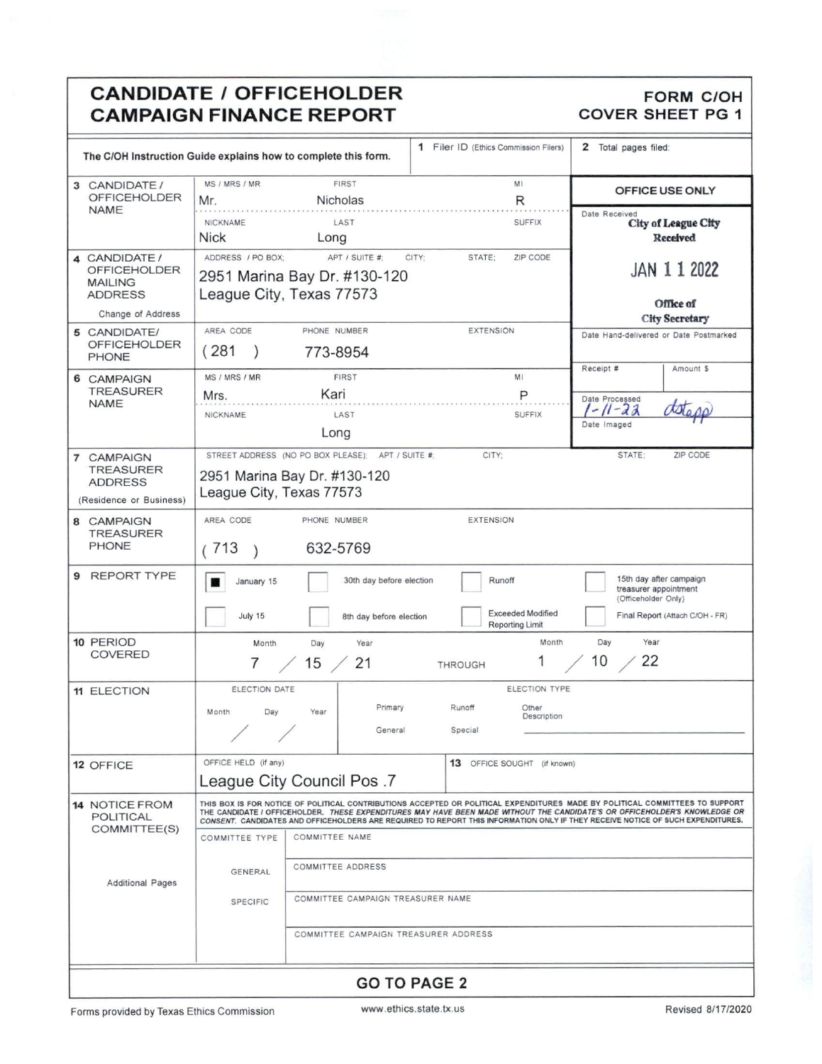## **CANDIDATE / OFFICEHOLDER CAMPAIGN FINANCE REPORT**

### **FORM C/OH** COVER SHEET PG 1

|                                                                                               | The C/OH Instruction Guide explains how to complete this form.                                                                                                                                                                                                                                                                                                                                                                    | 1 Filer ID (Ethics Commission Filers)                        | 2 Total pages filed:                                                                                       |
|-----------------------------------------------------------------------------------------------|-----------------------------------------------------------------------------------------------------------------------------------------------------------------------------------------------------------------------------------------------------------------------------------------------------------------------------------------------------------------------------------------------------------------------------------|--------------------------------------------------------------|------------------------------------------------------------------------------------------------------------|
| 3 CANDIDATE /<br><b>OFFICEHOLDER</b>                                                          | <b>FIRST</b><br>MS / MRS / MR<br>Nicholas<br>Mr.                                                                                                                                                                                                                                                                                                                                                                                  | MI<br>R                                                      | OFFICE USE ONLY                                                                                            |
| <b>NAME</b>                                                                                   | NICKNAME<br>LAST<br><b>Nick</b><br>Long                                                                                                                                                                                                                                                                                                                                                                                           | <b>SUFFIX</b>                                                | Date Received<br><b>City of League City</b><br>Received                                                    |
| 4 CANDIDATE /<br><b>OFFICEHOLDER</b><br><b>MAILING</b><br><b>ADDRESS</b><br>Change of Address | ADDRESS / PO BOX:<br>APT / SUITE #:<br>2951 Marina Bay Dr. #130-120<br>League City, Texas 77573                                                                                                                                                                                                                                                                                                                                   | ZIP CODE<br>CITY:<br>STATE:                                  | JAN 112022<br>Office of<br><b>City Secretary</b>                                                           |
| 5 CANDIDATE/<br><b>OFFICEHOLDER</b><br><b>PHONE</b>                                           | AREA CODE<br>PHONE NUMBER<br>(281)<br>773-8954                                                                                                                                                                                                                                                                                                                                                                                    | <b>EXTENSION</b>                                             | Date Hand-delivered or Date Postmarked<br>Receipt #<br>Amount \$                                           |
| 6 CAMPAIGN<br><b>TREASURER</b><br><b>NAME</b>                                                 | <b>FIRST</b><br>MS / MRS / MR<br>Kari<br>Mrs.<br>NICKNAME<br>LAST<br>Long                                                                                                                                                                                                                                                                                                                                                         | M1<br>P<br><b>SUFFIX</b>                                     | Date Processed<br>$11 - 23$<br>Date Imaged                                                                 |
| 7 CAMPAIGN<br><b>TREASURER</b><br><b>ADDRESS</b><br>(Residence or Business)                   | STREET ADDRESS (NO PO BOX PLEASE);<br>APT / SUITE #<br>2951 Marina Bay Dr. #130-120<br>League City, Texas 77573                                                                                                                                                                                                                                                                                                                   | CITY:                                                        | STATE:<br>ZIP CODE                                                                                         |
| 8 CAMPAIGN<br><b>TREASURER</b><br><b>PHONE</b>                                                | AREA CODE<br>PHONE NUMBER<br>632-5769<br>(713                                                                                                                                                                                                                                                                                                                                                                                     | <b>EXTENSION</b>                                             |                                                                                                            |
| 9 REPORT TYPE                                                                                 | 30th day before election<br>January 15<br>July 15<br>8th day before election                                                                                                                                                                                                                                                                                                                                                      | Runoff<br><b>Exceeded Modified</b><br><b>Reporting Limit</b> | 15th day after campaign<br>treasurer appointment<br>(Officeholder Only)<br>Final Report (Attach C/OH - FR) |
| 10 PERIOD<br><b>COVERED</b>                                                                   | Month<br>Day<br>Year<br>15/<br>21<br>$\prime$                                                                                                                                                                                                                                                                                                                                                                                     | Month<br><b>THROUGH</b>                                      | Day<br>Year<br>22<br>10                                                                                    |
| <b>11 ELECTION</b>                                                                            | ELECTION DATE<br>Primary<br>Month<br>Day<br>Year<br>General                                                                                                                                                                                                                                                                                                                                                                       | ELECTION TYPE<br>Runoff<br>Other<br>Description<br>Special   |                                                                                                            |
| 12 OFFICE                                                                                     | OFFICE HELD (if any)<br><b>League City Council Pos.7</b>                                                                                                                                                                                                                                                                                                                                                                          | 13 OFFICE SOUGHT (if known)                                  |                                                                                                            |
| <b>14 NOTICE FROM</b><br>POLITICAL<br>COMMITTEE(S)                                            | THIS BOX IS FOR NOTICE OF POLITICAL CONTRIBUTIONS ACCEPTED OR POLITICAL EXPENDITURES MADE BY POLITICAL COMMITTEES TO SUPPORT<br>THE CANDIDATE / OFFICEHOLDER. THESE EXPENDITURES MAY HAVE BEEN MADE WITHOUT THE CANDIDATE'S OR OFFICEHOLDER'S KNOWLEDGE OR<br>CONSENT. CANDIDATES AND OFFICEHOLDERS ARE REQUIRED TO REPORT THIS INFORMATION ONLY IF THEY RECEIVE NOTICE OF SUCH EXPENDITURES.<br>COMMITTEE TYPE<br>COMMITTEE NAME |                                                              |                                                                                                            |
| <b>Additional Pages</b>                                                                       | <b>COMMITTEE ADDRESS</b><br><b>GENERAL</b><br>COMMITTEE CAMPAIGN TREASURER NAME<br><b>SPECIFIC</b><br>COMMITTEE CAMPAIGN TREASURER ADDRESS                                                                                                                                                                                                                                                                                        |                                                              |                                                                                                            |
| <b>GO TO PAGE 2</b>                                                                           |                                                                                                                                                                                                                                                                                                                                                                                                                                   |                                                              |                                                                                                            |

ı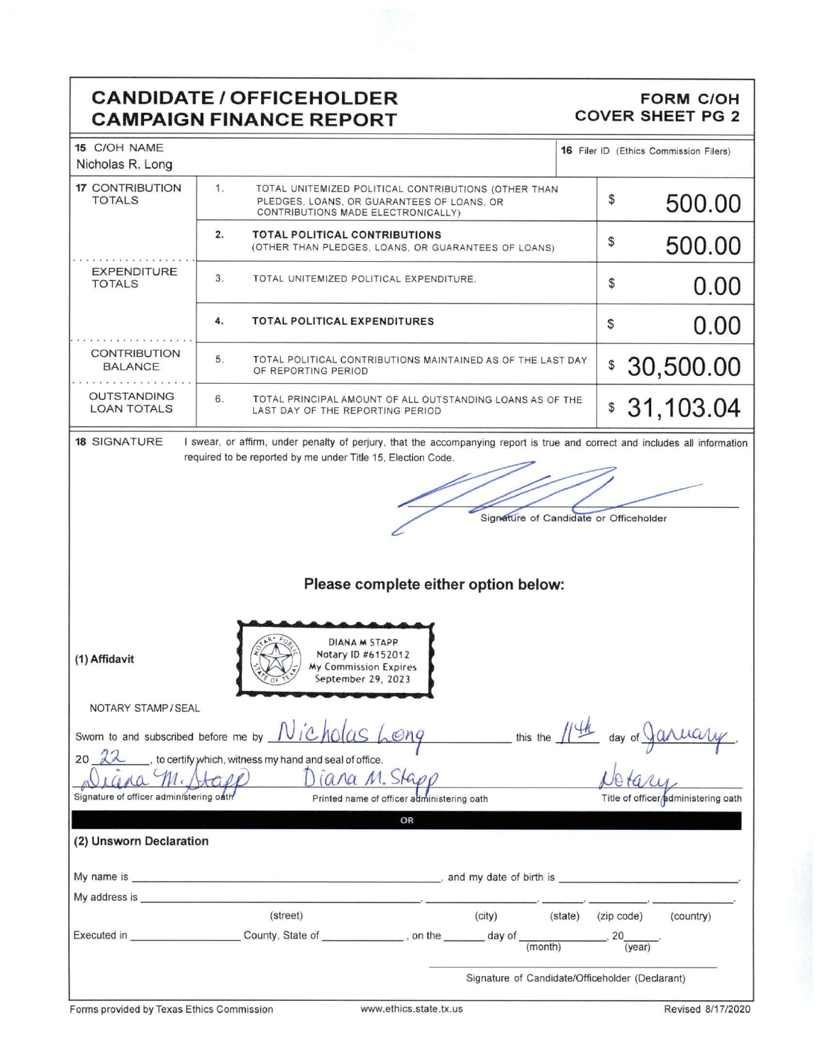## **CANDIDATE / OFFICEHOLDER CAMPAIGN FINANCE REPORT**

#### **FORM C/OH** COVER SHEET PG 2

| 15 C/OH NAME<br>Nicholas R. Long         |                                                                                                                                                                                                                                |                                                 |              | 16 Filer ID (Ethics Commission Filers) |
|------------------------------------------|--------------------------------------------------------------------------------------------------------------------------------------------------------------------------------------------------------------------------------|-------------------------------------------------|--------------|----------------------------------------|
| <b>17 CONTRIBUTION</b><br><b>TOTALS</b>  | 1.<br>TOTAL UNITEMIZED POLITICAL CONTRIBUTIONS (OTHER THAN<br>PLEDGES, LOANS, OR GUARANTEES OF LOANS, OR<br>CONTRIBUTIONS MADE ELECTRONICALLY)                                                                                 |                                                 | \$           | 500.00                                 |
|                                          | 2.<br><b>TOTAL POLITICAL CONTRIBUTIONS</b><br>(OTHER THAN PLEDGES, LOANS, OR GUARANTEES OF LOANS)                                                                                                                              |                                                 | \$           | 500.00                                 |
| <b>EXPENDITURE</b><br><b>TOTALS</b>      | 3.<br>TOTAL UNITEMIZED POLITICAL EXPENDITURE.                                                                                                                                                                                  |                                                 | \$           | 0.00                                   |
|                                          | 4.<br><b>TOTAL POLITICAL EXPENDITURES</b>                                                                                                                                                                                      |                                                 | \$           | 0.00                                   |
| <b>CONTRIBUTION</b><br><b>BALANCE</b>    | 5.<br>TOTAL POLITICAL CONTRIBUTIONS MAINTAINED AS OF THE LAST DAY<br>OF REPORTING PERIOD                                                                                                                                       |                                                 | $\mathbb{S}$ | 30,500.00                              |
| <b>OUTSTANDING</b><br><b>LOAN TOTALS</b> | 6.<br>TOTAL PRINCIPAL AMOUNT OF ALL OUTSTANDING LOANS AS OF THE<br>LAST DAY OF THE REPORTING PERIOD                                                                                                                            |                                                 | $\mathbb{S}$ | 31,103.04                              |
| <b>18 SIGNATURE</b>                      | I swear, or affirm, under penalty of perjury, that the accompanying report is true and correct and includes all information                                                                                                    |                                                 |              |                                        |
|                                          | required to be reported by me under Title 15, Election Code.                                                                                                                                                                   |                                                 |              |                                        |
|                                          |                                                                                                                                                                                                                                |                                                 |              |                                        |
|                                          |                                                                                                                                                                                                                                |                                                 |              |                                        |
|                                          |                                                                                                                                                                                                                                | Signature of Candidate or Officeholder          |              |                                        |
|                                          |                                                                                                                                                                                                                                |                                                 |              |                                        |
|                                          |                                                                                                                                                                                                                                |                                                 |              |                                        |
|                                          |                                                                                                                                                                                                                                | Please complete either option below:            |              |                                        |
|                                          |                                                                                                                                                                                                                                |                                                 |              |                                        |
|                                          |                                                                                                                                                                                                                                |                                                 |              |                                        |
| (1) Affidavit<br>NOTARY STAMP / SEAL     | DIANA M STAPP<br>Notary ID #6152012<br>My Commission Expires<br>September 29, 2023                                                                                                                                             |                                                 |              |                                        |
|                                          | Sworn to and subscribed before me by $N$ icholas Long                                                                                                                                                                          | this the 11th                                   |              | 000000<br>day of $\sqrt{u}$            |
| 20                                       | , to certify which, witness my hand and seal of office.                                                                                                                                                                        |                                                 |              |                                        |
|                                          | Diana M. Stapp                                                                                                                                                                                                                 |                                                 |              |                                        |
| Signature of officer administering oath  | Printed name of officer administering oath                                                                                                                                                                                     |                                                 |              | Title of officer/administering oath    |
|                                          | OR                                                                                                                                                                                                                             |                                                 |              |                                        |
| (2) Unsworn Declaration                  |                                                                                                                                                                                                                                |                                                 |              |                                        |
|                                          |                                                                                                                                                                                                                                |                                                 |              |                                        |
|                                          | My name is example to the set of birth is and my date of birth is and my date of birth is a set of $\sim$                                                                                                                      |                                                 |              |                                        |
|                                          | My address is experience to the control of the control of the control of the control of the control of the control of the control of the control of the control of the control of the control of the control of the control of |                                                 |              |                                        |
|                                          | (street)                                                                                                                                                                                                                       | (city)<br>(state)                               | (zip code)   | (country)                              |
|                                          | Executed in __________________________County, State of ______________, on the ________ day of _____                                                                                                                            | (month)                                         | 20           | (year)                                 |
|                                          |                                                                                                                                                                                                                                | Signature of Candidate/Officeholder (Declarant) |              |                                        |
|                                          |                                                                                                                                                                                                                                |                                                 |              |                                        |

J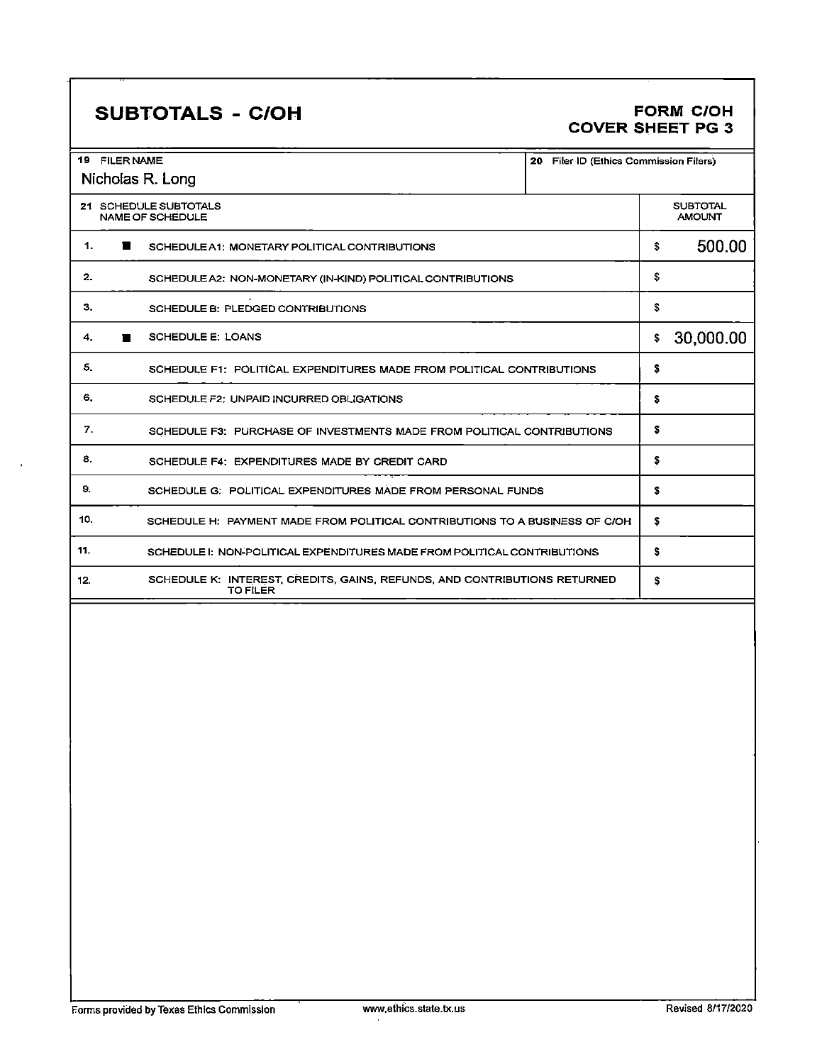# SUBTOTALS - C/OH

#### **FORM C/OH** COVER SHEET PG

| 19 FILER NAME<br>20 Filer ID (Ethics Commission Filers)                                      |                                  |  |
|----------------------------------------------------------------------------------------------|----------------------------------|--|
| Nicholas R. Long                                                                             |                                  |  |
| 21 SCHEDULE SUBTOTALS<br><b>NAME OF SCHEDULE</b>                                             | <b>SUBTOTAL</b><br><b>AMOUNT</b> |  |
| 1.<br>$\blacksquare$<br>SCHEDULE A1: MONETARY POLITICAL CONTRIBUTIONS                        | 500.00<br>\$                     |  |
| 2.<br>SCHEDULE A2: NON-MONETARY (IN-KIND) POLITICAL CONTRIBUTIONS                            | \$                               |  |
| з.<br>SCHEDULE B: PLEDGED CONTRIBUTIONS                                                      | \$                               |  |
| <b>SCHEDULE E: LOANS</b><br>4.                                                               | 30,000.00<br>\$                  |  |
| 5.<br>SCHEDULE F1: POLITICAL EXPENDITURES MADE FROM POLITICAL CONTRIBUTIONS                  | \$                               |  |
| 6.<br>SCHEDULE F2: UNPAID INCURRED OBLIGATIONS                                               | \$                               |  |
| 7.<br>SCHEDULE F3: PURCHASE OF INVESTMENTS MADE FROM POLITICAL CONTRIBUTIONS                 | S                                |  |
| 8.<br>SCHEDULE F4: EXPENDITURES MADE BY CREDIT CARD                                          | \$                               |  |
| 9.<br>SCHEDULE G: POLITICAL EXPENDITURES MADE FROM PERSONAL FUNDS                            | s                                |  |
| 10.<br>SCHEDULE H: PAYMENT MADE FROM POLITICAL CONTRIBUTIONS TO A BUSINESS OF C/OH           | \$                               |  |
| 11.<br>SCHEDULE I: NON-POLITICAL EXPENDITURES MADE FROM POLITICAL CONTRIBUTIONS              | S                                |  |
| SCHEDULE K: INTEREST, CREDITS, GAINS, REFUNDS, AND CONTRIBUTIONS RETURNED<br>12.<br>TO FILER | \$                               |  |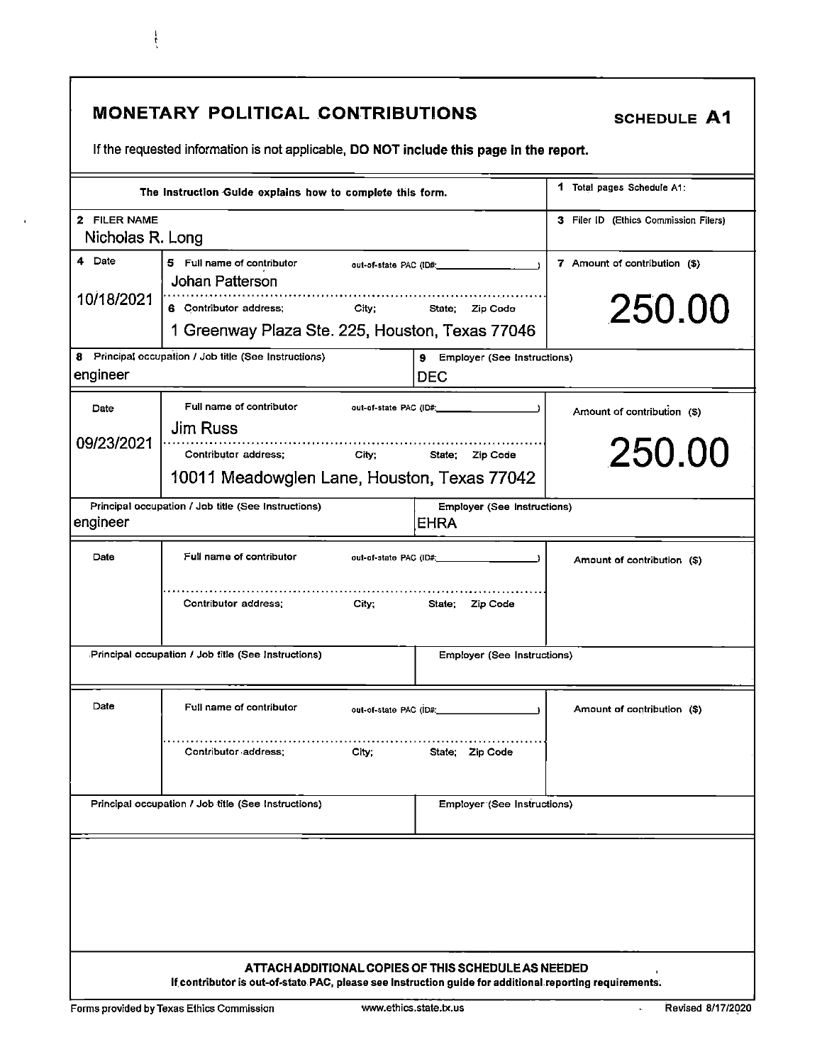|                                  | <b>MONETARY POLITICAL CONTRIBUTIONS</b><br>If the requested information is not applicable, DO NOT include this page in the report.                             |                                                                                                                                                                                                                                                   | <b>SCHEDULE A1</b>                      |
|----------------------------------|----------------------------------------------------------------------------------------------------------------------------------------------------------------|---------------------------------------------------------------------------------------------------------------------------------------------------------------------------------------------------------------------------------------------------|-----------------------------------------|
|                                  | The Instruction Guide explains how to complete this form.                                                                                                      |                                                                                                                                                                                                                                                   | 1 Total pages Schedule A1:              |
| 2 FILER NAME<br>Nicholas R. Long |                                                                                                                                                                |                                                                                                                                                                                                                                                   | 3 Filer ID (Ethics Commission Filers)   |
| 4 Date<br>10/18/2021             | 5 Full name of contributor<br>Johan Patterson<br>6 Contributor address;<br>City:<br>State:<br>Zip Code<br>1 Greenway Plaza Ste. 225, Houston, Texas 77046      |                                                                                                                                                                                                                                                   | 7 Amount of contribution (\$)<br>250.00 |
| 8<br>engineer                    | Principal occupation / Job title (See Instructions)                                                                                                            | 9<br>Employer (See Instructions)<br><b>DEC</b>                                                                                                                                                                                                    |                                         |
| Date<br>09/23/2021               | Full name of contributor<br>out-of-state PAC (ID#;<br><b>Jim Russ</b><br>Contributor address;<br>City:<br>10011 Meadowglen Lane, Houston, Texas 77042          | State; Zip Code                                                                                                                                                                                                                                   | Amount of contribution (\$)<br>250.00   |
| engineer                         | Principal occupation / Job title (See Instructions)                                                                                                            | <b>Employer (See Instructions)</b><br>EHRA                                                                                                                                                                                                        |                                         |
| Date                             | Full name of contributor<br>Contributor address:<br>City:                                                                                                      | out-of-state PAC (ID#; in the control of the control of the control of the control of the control of the control of the control of the control of the control of the control of the control of the control of the control of t<br>State; Zip Code | Amount of contribution (\$)             |
|                                  | Principal occupation / Job title (See Instructions)                                                                                                            | Employer (See Instructions)                                                                                                                                                                                                                       |                                         |
| Date                             | Full name of contributor<br>.<br>Contributor address:<br>City:                                                                                                 | State; Zip Code                                                                                                                                                                                                                                   | Amount of contribution (\$)             |
|                                  | Principal occupation / Job title (See Instructions)                                                                                                            | <b>Employer (See Instructions)</b>                                                                                                                                                                                                                |                                         |
|                                  |                                                                                                                                                                |                                                                                                                                                                                                                                                   |                                         |
|                                  | ATTACH ADDITIONAL COPIES OF THIS SCHEDULE AS NEEDED<br>If contributor is out-of-state PAC, please see Instruction guide for additional reporting requirements. |                                                                                                                                                                                                                                                   |                                         |

 $\frac{1}{3}$ 

 $\hat{\mathbf{r}}$ 

 $\hat{\mathcal{A}}$